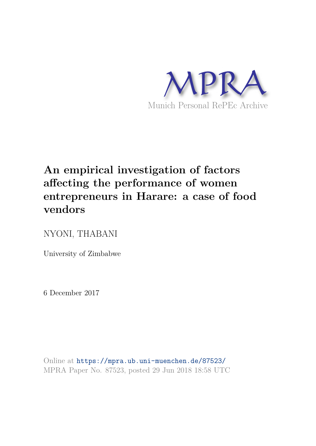

# **An empirical investigation of factors affecting the performance of women entrepreneurs in Harare: a case of food vendors**

NYONI, THABANI

University of Zimbabwe

6 December 2017

Online at https://mpra.ub.uni-muenchen.de/87523/ MPRA Paper No. 87523, posted 29 Jun 2018 18:58 UTC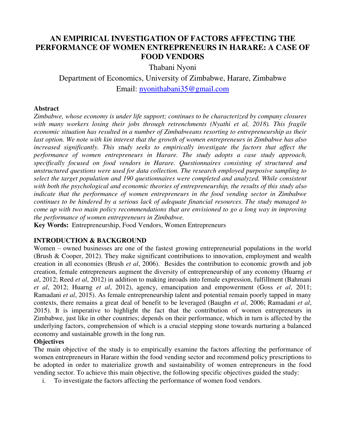# **AN EMPIRICAL INVESTIGATION OF FACTORS AFFECTING THE PERFORMANCE OF WOMEN ENTREPRENEURS IN HARARE: A CASE OF FOOD VENDORS**

Thabani Nyoni

Department of Economics, University of Zimbabwe, Harare, Zimbabwe Email: nyonithabani35@gmail.com

#### **Abstract**

*Zimbabwe, whose economy is under life support; continues to be characterized by company closures with many workers losing their jobs through retrenchments (Nyathi et al, 2018). This fragile economic situation has resulted in a number of Zimbabweans resorting to entrepreneurship as their last option. We note with kin interest that the growth of women entrepreneurs in Zimbabwe has also increased significantly. This study seeks to empirically investigate the factors that affect the performance of women entrepreneurs in Harare. The study adopts a case study approach, specifically focused on food vendors in Harare. Questionnaires consisting of structured and unstructured questions were used for data collection. The research employed purposive sampling to select the target population and 190 questionnaires were completed and analyzed. While consistent with both the psychological and economic theories of entrepreneurship, the results of this study also indicate that the performance of women entrepreneurs in the food vending sector in Zimbabwe continues to be hindered by a serious lack of adequate financial resources. The study managed to come up with two main policy recommendations that are envisioned to go a long way in improving the performance of women entrepreneurs in Zimbabwe.* 

**Key Words:** Entrepreneurship, Food Vendors, Women Entrepreneurs

# **INTRODUCTION & BACKGROUND**

Women – owned businesses are one of the fastest growing entrepreneurial populations in the world (Brush & Cooper, 2012). They make significant contributions to innovation, employment and wealth creation in all economies (Brush *et al*, 2006). Besides the contribution to economic growth and job creation, female entrepreneurs augment the diversity of entrepreneurship of any economy (Huarng *et al*, 2012; Reed *et al*, 2012) in addition to making inroads into female expression, fulfillment (Bahmani *et al*, 2012; Huarng *et al*, 2012), agency, emancipation and empowerment (Goss *et al*, 2011; Ramadani *et al*, 2015). As female entrepreneurship talent and potential remain poorly tapped in many contexts, there remains a great deal of benefit to be leveraged (Baughn *et al*, 2006; Ramadani *et al*, 2015). It is imperative to highlight the fact that the contribution of women entrepreneurs in Zimbabwe, just like in other countries; depends on their performance, which in turn is affected by the underlying factors, comprehension of which is a crucial stepping stone towards nurturing a balanced economy and sustainable growth in the long run.

# **Objectives**

The main objective of the study is to empirically examine the factors affecting the performance of women entrepreneurs in Harare within the food vending sector and recommend policy prescriptions to be adopted in order to materialize growth and sustainability of women entrepreneurs in the food vending sector. To achieve this main objective, the following specific objectives guided the study:

i. To investigate the factors affecting the performance of women food vendors.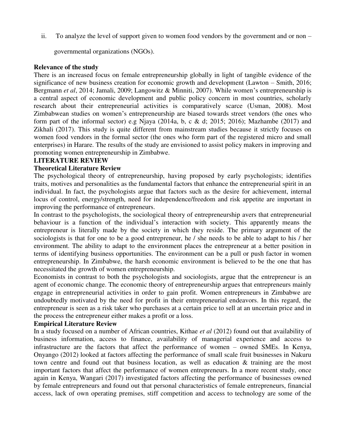ii. To analyze the level of support given to women food vendors by the government and or non –

governmental organizations (NGOs).

#### **Relevance of the study**

There is an increased focus on female entrepreneurship globally in light of tangible evidence of the significance of new business creation for economic growth and development (Lawton – Smith, 2016; Bergmann *et al*, 2014; Jamali, 2009; Langowitz & Minniti, 2007). While women's entrepreneurship is a central aspect of economic development and public policy concern in most countries, scholarly research about their entrepreneurial activities is comparatively scarce (Usman, 2008). Most Zimbabwean studies on women's entrepreneurship are biased towards street vendors (the ones who form part of the informal sector) e.g Njaya (2014a, b, c & d; 2015; 2016); Mazhambe (2017) and Zikhali (2017). This study is quite different from mainstream studies because it strictly focuses on women food vendors in the formal sector (the ones who form part of the registered micro and small enterprises) in Harare. The results of the study are envisioned to assist policy makers in improving and promoting women entrepreneurship in Zimbabwe.

#### **LITERATURE REVIEW**

#### **Theoretical Literature Review**

The psychological theory of entrepreneurship, having proposed by early psychologists; identifies traits, motives and personalities as the fundamental factors that enhance the entrepreneurial spirit in an individual. In fact, the psychologists argue that factors such as the desire for achievement, internal locus of control, energy/strength, need for independence/freedom and risk appetite are important in improving the performance of entrepreneurs.

In contrast to the psychologists, the sociological theory of entrepreneurship avers that entrepreneurial behaviour is a function of the individual's interaction with society. This apparently means the entrepreneur is literally made by the society in which they reside. The primary argument of the sociologists is that for one to be a good entrepreneur, he / she needs to be able to adapt to his / her environment. The ability to adapt to the environment places the entrepreneur at a better position in terms of identifying business opportunities. The environment can be a pull or push factor in women entrepreneurship. In Zimbabwe, the harsh economic environment is believed to be the one that has necessitated the growth of women entrepreneurship.

Economists in contrast to both the psychologists and sociologists, argue that the entrepreneur is an agent of economic change. The economic theory of entrepreneurship argues that entrepreneurs mainly engage in entrepreneurial activities in order to gain profit. Women entrepreneurs in Zimbabwe are undoubtedly motivated by the need for profit in their entrepreneurial endeavors. In this regard, the entrepreneur is seen as a risk taker who purchases at a certain price to sell at an uncertain price and in the process the entrepreneur either makes a profit or a loss.

#### **Empirical Literature Review**

In a study focused on a number of African countries, Kithae *et al* (2012) found out that availability of business information, access to finance, availability of managerial experience and access to infrastructure are the factors that affect the performance of women – owned SMEs. In Kenya, Onyango (2012) looked at factors affecting the performance of small scale fruit businesses in Nakuru town centre and found out that business location, as well as education & training are the most important factors that affect the performance of women entrepreneurs. In a more recent study, once again in Kenya, Wangari (2017) investigated factors affecting the performance of businesses owned by female entrepreneurs and found out that personal characteristics of female entrepreneurs, financial access, lack of own operating premises, stiff competition and access to technology are some of the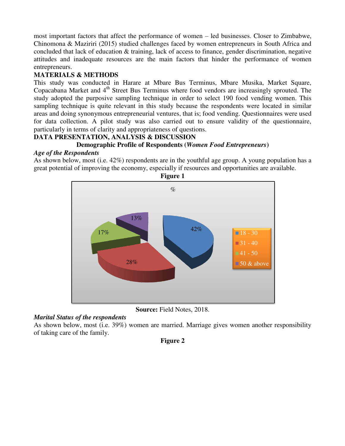most important factors that affect the performance of women – led businesses. Closer to Zimbabwe, Chinomona & Maziriri (2015) studied challenges faced by women entrepreneurs in South Africa and concluded that lack of education & training, lack of access to finance, gender discrimination, negative attitudes and inadequate resources are the main factors that hinder the performance of women entrepreneurs.

# **MATERIALS & METHODS**

This study was conducted in Harare at Mbare Bus Terminus, Mbare Musika, Market Square, Copacabana Market and 4<sup>th</sup> Street Bus Terminus where food vendors are increasingly sprouted. The study adopted the purposive sampling technique in order to select 190 food vending women. This sampling technique is quite relevant in this study because the respondents were located in similar areas and doing synonymous entrepreneurial ventures, that is; food vending. Questionnaires were used for data collection. A pilot study was also carried out to ensure validity of the questionnaire, particularly in terms of clarity and appropriateness of questions.

# **DATA PRESENTATION, ANALYSIS & DISCUSSION Demographic Profile of Respondents (***Women Food Entrepreneurs***)**

#### *Age of the Respondents*

As shown below, most (i.e. 42%) respondents are in the youthful age group. A young population has a great potential of improving the economy, especially if resources and opportunities are available.



**Figure 1** 

**Source:** Field Notes, 2018.

# *Marital Status of the respondents*

As shown below, most (i.e. 39%) women are married. Marriage gives women another responsibility of taking care of the family.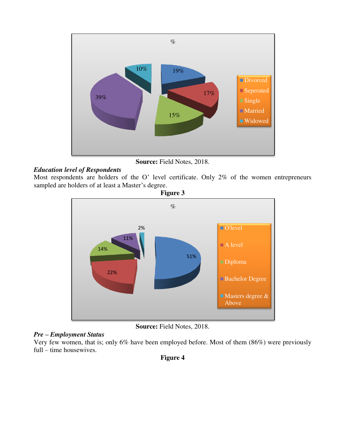

**Source:** Field Notes, 2018.

# *Education level of Respondents*

Most respondents are holders of the O' level certificate. Only 2% of the women entrepreneurs sampled are holders of at least a Master's degree.



**Source:** Field Notes, 2018.

# *Pre – Employment Status*

Very few women, that is; only 6% have been employed before. Most of them (86%) were previously full – time housewives.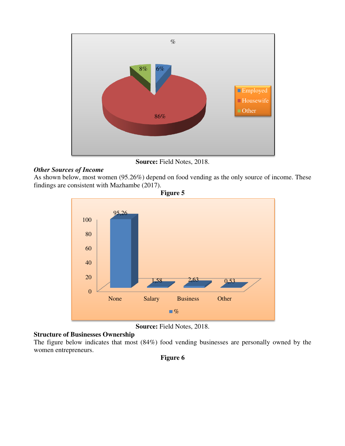

**Source:** Field Notes, 2018.

#### *Other Sources of Income*

As shown below, most women (95.26%) depend on food vending as the only source of income. These findings are consistent with Mazhambe (2017).



**Source:** Field Notes, 2018.

#### **Structure of Businesses Ownership**

The figure below indicates that most (84%) food vending businesses are personally owned by the women entrepreneurs.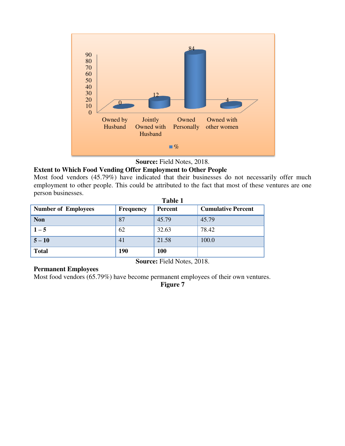



# **Extent to Which Food Vending Offer Employment to Other People**

Most food vendors (45.79%) have indicated that their businesses do not necessarily offer much employment to other people. This could be attributed to the fact that most of these ventures are one person businesses.

|                            | Table 1          |                |                           |  |
|----------------------------|------------------|----------------|---------------------------|--|
| <b>Number of Employees</b> | <b>Frequency</b> | <b>Percent</b> | <b>Cumulative Percent</b> |  |
| <b>Non</b>                 | 87               | 45.79          | 45.79                     |  |
| $1 - 5$                    | 62               | 32.63          | 78.42                     |  |
| $5 - 10$                   | 41               | 21.58          | 100.0                     |  |
| <b>Total</b>               | <b>190</b>       | 100            |                           |  |
| Source: Field Notes, 2018. |                  |                |                           |  |

#### **Permanent Employees**

Most food vendors (65.79%) have become permanent employees of their own ventures.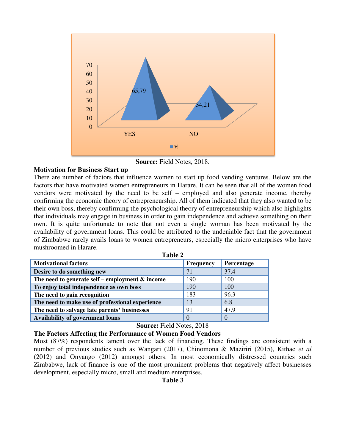

**Source:** Field Notes, 2018.

#### **Motivation for Business Start up**

There are number of factors that influence women to start up food vending ventures. Below are the factors that have motivated women entrepreneurs in Harare. It can be seen that all of the women food vendors were motivated by the need to be self – employed and also generate income, thereby confirming the economic theory of entrepreneurship. All of them indicated that they also wanted to be their own boss, thereby confirming the psychological theory of entrepreneurship which also highlights that individuals may engage in business in order to gain independence and achieve something on their own. It is quite unfortunate to note that not even a single woman has been motivated by the availability of government loans. This could be attributed to the undeniable fact that the government of Zimbabwe rarely avails loans to women entrepreneurs, especially the micro enterprises who have mushroomed in Harare.

**Table 2** 

|                                                    | Tadic 2          |            |  |  |  |
|----------------------------------------------------|------------------|------------|--|--|--|
| <b>Motivational factors</b>                        | <b>Frequency</b> | Percentage |  |  |  |
| Desire to do something new                         | 71               | 37.4       |  |  |  |
| The need to generate self – employment $\&$ income | 190              | 100        |  |  |  |
| To enjoy total independence as own boss            | 190              | 100        |  |  |  |
| The need to gain recognition                       | 183              | 96.3       |  |  |  |
| The need to make use of professional experience    | 13               | 6.8        |  |  |  |
| The need to salvage late parents' businesses       | 91               | 47.9       |  |  |  |
| <b>Availability of government loans</b>            |                  |            |  |  |  |

# **Source:** Field Notes, 2018

**The Factors Affecting the Performance of Women Food Vendors** 

Most (87%) respondents lament over the lack of financing. These findings are consistent with a number of previous studies such as Wangari (2017), Chinomona & Maziriri (2015), Kithae *et al* (2012) and Onyango (2012) amongst others. In most economically distressed countries such Zimbabwe, lack of finance is one of the most prominent problems that negatively affect businesses development, especially micro, small and medium enterprises.

**Table 3**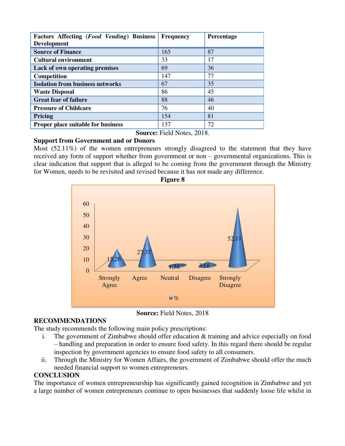| Factors Affecting (Food Vending) Business<br><b>Development</b> | <b>Frequency</b> | Percentage |
|-----------------------------------------------------------------|------------------|------------|
| <b>Source of Finance</b>                                        | 165              | 87         |
| <b>Cultural environment</b>                                     | 33               | 17         |
| Lack of own operating premises                                  | 69               | 36         |
| Competition                                                     | 147              | 77         |
| <b>Isolation from business networks</b>                         | 67               | 35         |
| <b>Waste Disposal</b>                                           | 86               | 45         |
| <b>Great fear of failure</b>                                    | 88               | 46         |
| <b>Pressure of Childcare</b>                                    | 76               | 40         |
| Pricing                                                         | 154              | 81         |
| <b>Proper place suitable for business</b>                       | 137              | 72         |

**Source:** Field Notes, 2018.

# **Support from Government and or Donors**

Most (52.11%) of the women entrepreneurs strongly disagreed to the statement that they have received any form of support whether from government or non – governmental organizations. This is clear indication that support that is alleged to be coming from the government through the Ministry for Women, needs to be revisited and revised because it has not made any difference.



**Source:** Field Notes, 2018

# **RECOMMENDATIONS**

The study recommends the following main policy prescriptions:

- i. The government of Zimbabwe should offer education & training and advice especially on food – handling and preparation in order to ensure food safety. In this regard there should be regular inspection by government agencies to ensure food safety to all consumers.
- ii. Through the Ministry for Women Affairs, the government of Zimbabwe should offer the much needed financial support to women entrepreneurs.

# **CONCLUSION**

The importance of women entrepreneurship has significantly gained recognition in Zimbabwe and yet a large number of women entrepreneurs continue to open businesses that suddenly loose life whilst in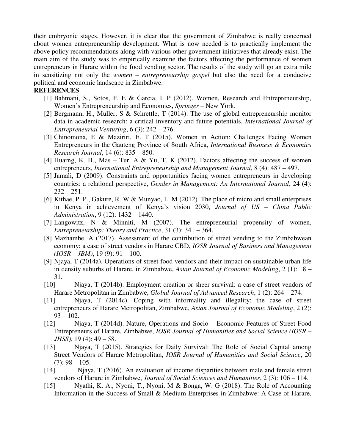their embryonic stages. However, it is clear that the government of Zimbabwe is really concerned about women entrepreneurship development. What is now needed is to practically implement the above policy recommendations along with various other government initiatives that already exist. The main aim of the study was to empirically examine the factors affecting the performance of women entrepreneurs in Harare within the food vending sector. The results of the study will go an extra mile in sensitizing not only the *women – entrepreneurship gospel* but also the need for a conducive political and economic landscape in Zimbabwe.

#### **REFERENCES**

- [1] Bahmani, S., Sotos, F. E & Garcia, I. P (2012). Women, Research and Entrepreneurship, Women's Entrepreneurship and Economics, *Springer* – New York.
- [2] Bergmann, H., Muller, S & Schrettle, T (2014). The use of global entrepreneurship monitor data in academic research: a critical inventory and future potentials, *International Journal of Entrepreneurial Venturing*, 6 (3): 242 – 276.
- [3] Chinomona, E & Maziriri, E. T (2015). Women in Action: Challenges Facing Women Entrepreneurs in the Gauteng Province of South Africa, *International Business & Economics Research Journal*, 14 (6): 835 – 850.
- [4] Huarng, K. H., Mas Tur, A & Yu, T. K (2012). Factors affecting the success of women entrepreneurs, *International Entrepreneurship and Management Journal*, 8 (4): 487 – 497.
- [5] Jamali, D (2009). Constraints and opportunities facing women entrepreneurs in developing countries: a relational perspective, *Gender in Management: An International Journal*, 24 (4):  $232 - 251$ .
- [6] Kithae, P. P., Gakure, R. W & Munyao, L. M (2012). The place of micro and small enterprises in Kenya in achievement of Kenya's vision 2030, *Journal of US – China Public Administration*, 9 (12): 1432 – 1440.
- [7] Langowitz, N & Minniti, M (2007). The entrepreneurial propensity of women, *Entrepreneurship: Theory and Practice*, 31 (3): 341 – 364.
- [8] Mazhambe, A (2017). Assessment of the contribution of street vending to the Zimbabwean economy: a case of street vendors in Harare CBD, *IOSR Journal of Business and Management (IOSR – JBM)*, 19 (9): 91 – 100.
- [9] Njaya, T (2014a). Operations of street food vendors and their impact on sustainable urban life in density suburbs of Harare, in Zimbabwe, *Asian Journal of Economic Modeling*, 2 (1): 18 – 31.
- [10] Njaya, T (2014b). Employment creation or sheer survival: a case of street vendors of Harare Metropolitan in Zimbabwe, *Global Journal of Advanced Research*, 1 (2): 264 – 274.
- [11] Njaya, T (2014c). Coping with informality and illegality: the case of street entrepreneurs of Harare Metropolitan, Zimbabwe, *Asian Journal of Economic Modeling*, 2 (2):  $93 - 102$ .
- [12] Njaya, T (2014d). Nature, Operations and Socio Economic Features of Street Food Entrepreneurs of Harare, Zimbabwe, *IOSR Journal of Humanities and Social Science (IOSR – JHSS)*, 19 (4): 49 – 58.
- [13] Njaya, T (2015). Strategies for Daily Survival: The Role of Social Capital among Street Vendors of Harare Metropolitan, *IOSR Journal of Humanities and Social Science*, 20  $(7): 98 - 105.$
- [14] Njaya, T (2016). An evaluation of income disparities between male and female street vendors of Harare in Zimbabwe, *Journal of Social Sciences and Humanities*, 2 (3): 106 – 114.
- [15] Nyathi, K. A., Nyoni, T., Nyoni, M & Bonga, W. G (2018). The Role of Accounting Information in the Success of Small & Medium Enterprises in Zimbabwe: A Case of Harare,